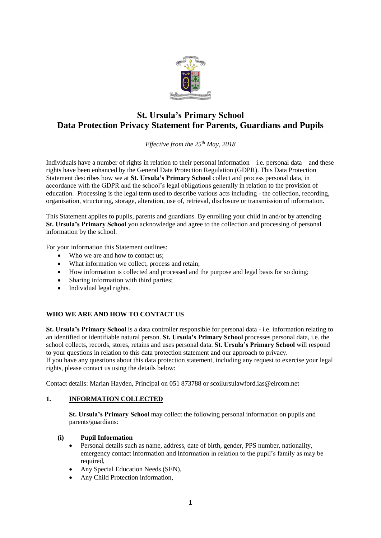

# **St. Ursula's Primary School Data Protection Privacy Statement for Parents, Guardians and Pupils**

*Effective from the 25th May, 2018*

Individuals have a number of rights in relation to their personal information – i.e. personal data – and these rights have been enhanced by the General Data Protection Regulation (GDPR). This Data Protection Statement describes how we at **St. Ursula's Primary School** collect and process personal data, in accordance with the GDPR and the school's legal obligations generally in relation to the provision of education. Processing is the legal term used to describe various acts including - the collection, recording, organisation, structuring, storage, alteration, use of, retrieval, disclosure or transmission of information.

This Statement applies to pupils, parents and guardians. By enrolling your child in and/or by attending **St. Ursula's Primary School** you acknowledge and agree to the collection and processing of personal information by the school.

For your information this Statement outlines:

- Who we are and how to contact us;
- What information we collect, process and retain:
- How information is collected and processed and the purpose and legal basis for so doing;
- Sharing information with third parties:
- Individual legal rights.

## **WHO WE ARE AND HOW TO CONTACT US**

**St. Ursula's Primary School** is a data controller responsible for personal data - i.e. information relating to an identified or identifiable natural person. **St. Ursula's Primary School** processes personal data, i.e. the school collects, records, stores, retains and uses personal data. **St. Ursula's Primary School** will respond to your questions in relation to this data protection statement and our approach to privacy. If you have any questions about this data protection statement, including any request to exercise your legal rights, please contact us using the details below:

Contact details: Marian Hayden, Principal on 051 873788 or scoilursulawford.ias@eircom.net

## **1. INFORMATION COLLECTED**

**St. Ursula's Primary School** may collect the following personal information on pupils and parents/guardians:

#### **(i) Pupil Information**

- Personal details such as name, address, date of birth, gender, PPS number, nationality, emergency contact information and information in relation to the pupil's family as may be required,
- Any Special Education Needs (SEN),
- Any Child Protection information,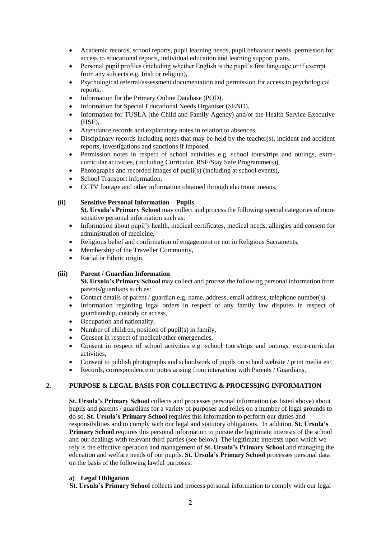- Academic records, school reports, pupil learning needs, pupil behaviour needs, permission for access to educational reports, individual education and learning support plans,
- Personal pupil profiles (including whether English is the pupil's first language or if exempt from any subjects e.g. Irish or religion),
- Psychological referral/assessment documentation and permission for access to psychological reports,
- Information for the Primary Online Database (POD),
- Information for Special Educational Needs Organiser (SENO),
- Information for TUSLA (the Child and Family Agency) and/or the Health Service Executive (HSE),
- Attendance records and explanatory notes in relation to absences,
- Disciplinary records including notes that may be held by the teacher(s), incident and accident reports, investigations and sanctions if imposed,
- Permission notes in respect of school activities e.g. school tours/trips and outings, extracurricular activities, (including Curricular, RSE/Stay Safe Programme(s)),
- Photographs and recorded images of pupil(s) (including at school events),
- School Transport information,
- CCTV footage and other information obtained through electronic means,

## **(ii) Sensitive Personal Information – Pupils**

**St. Ursula's Primary School** may collect and process the following special categories of more sensitive personal information such as:

- Information about pupil's health, medical certificates, medical needs, allergies and consent for administration of medicine,
- Religious belief and confirmation of engagement or not in Religious Sacraments,
- Membership of the Traveller Community,
- Racial or Ethnic origin.

## **(iii) Parent / Guardian Information**

**St. Ursula's Primary School** may collect and process the following personal information from parents/guardians such as:

- Contact details of parent / guardian e.g. name, address, email address, telephone number(s)
- Information regarding legal orders in respect of any family law disputes in respect of guardianship, custody or access,
- Occupation and nationality,
- Number of children, position of pupil(s) in family,
- Consent in respect of medical/other emergencies,
- Consent in respect of school activities e.g. school tours/trips and outings, extra-curricular activities,
- Consent to publish photographs and schoolwork of pupils on school website / print media etc,
- Records, correspondence or notes arising from interaction with Parents / Guardians,

## **2. PURPOSE & LEGAL BASIS FOR COLLECTING & PROCESSING INFORMATION**

**St. Ursula's Primary School** collects and processes personal information (as listed above) about pupils and parents / guardians for a variety of purposes and relies on a number of legal grounds to do so. **St. Ursula's Primary School** requires this information to perform our duties and responsibilities and to comply with our legal and statutory obligations. In addition, **St. Ursula's Primary School** requires this personal information to pursue the legitimate interests of the school and our dealings with relevant third parties (see below). The legitimate interests upon which we rely is the effective operation and management of **St. Ursula's Primary School** and managing the education and welfare needs of our pupils. **St. Ursula's Primary School** processes personal data on the basis of the following lawful purposes:

## **a) Legal Obligation**

 **St. Ursula's Primary School** collects and process personal information to comply with our legal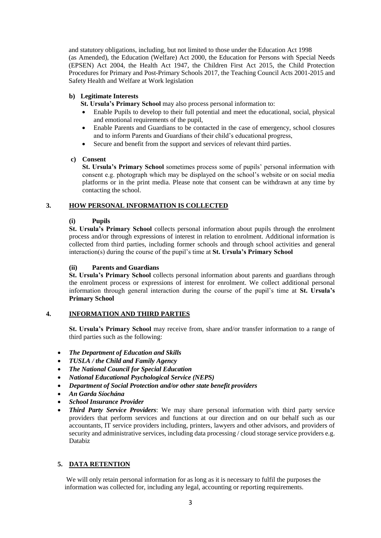and statutory obligations, including, but not limited to those under the Education Act 1998 (as Amended), the Education (Welfare) Act 2000, the Education for Persons with Special Needs (EPSEN) Act 2004, the Health Act 1947, the Children First Act 2015, the Child Protection Procedures for Primary and Post-Primary Schools 2017, the Teaching Council Acts 2001-2015 and Safety Health and Welfare at Work legislation

## **b) Legitimate Interests**

**St. Ursula's Primary School** may also process personal information to:

- Enable Pupils to develop to their full potential and meet the educational, social, physical and emotional requirements of the pupil,
- Enable Parents and Guardians to be contacted in the case of emergency, school closures and to inform Parents and Guardians of their child's educational progress,
- Secure and benefit from the support and services of relevant third parties.

## **c) Consent**

**St. Ursula's Primary School** sometimes process some of pupils' personal information with consent e.g. photograph which may be displayed on the school's website or on social media platforms or in the print media. Please note that consent can be withdrawn at any time by contacting the school.

## **3. HOW PERSONAL INFORMATION IS COLLECTED**

## **(i) Pupils**

**St. Ursula's Primary School** collects personal information about pupils through the enrolment process and/or through expressions of interest in relation to enrolment. Additional information is collected from third parties, including former schools and through school activities and general interaction(s) during the course of the pupil's time at **St. Ursula's Primary School**

## **(ii) Parents and Guardians**

**St. Ursula's Primary School** collects personal information about parents and guardians through the enrolment process or expressions of interest for enrolment. We collect additional personal information through general interaction during the course of the pupil's time at **St. Ursula's Primary School**

## **4. INFORMATION AND THIRD PARTIES**

**St. Ursula's Primary School** may receive from, share and/or transfer information to a range of third parties such as the following:

- *The Department of Education and Skills*
- *TUSLA / the Child and Family Agency*
- *The National Council for Special Education*
- *National Educational Psychological Service (NEPS)*
- *Department of Social Protection and/or other state benefit providers*
- *An Garda Síochána*
- *School Insurance Provider*
- *Third Party Service Providers*: We may share personal information with third party service providers that perform services and functions at our direction and on our behalf such as our accountants, IT service providers including, printers, lawyers and other advisors, and providers of security and administrative services, including data processing / cloud storage service providers e.g. Databiz

# **5. DATA RETENTION**

We will only retain personal information for as long as it is necessary to fulfil the purposes the information was collected for, including any legal, accounting or reporting requirements.